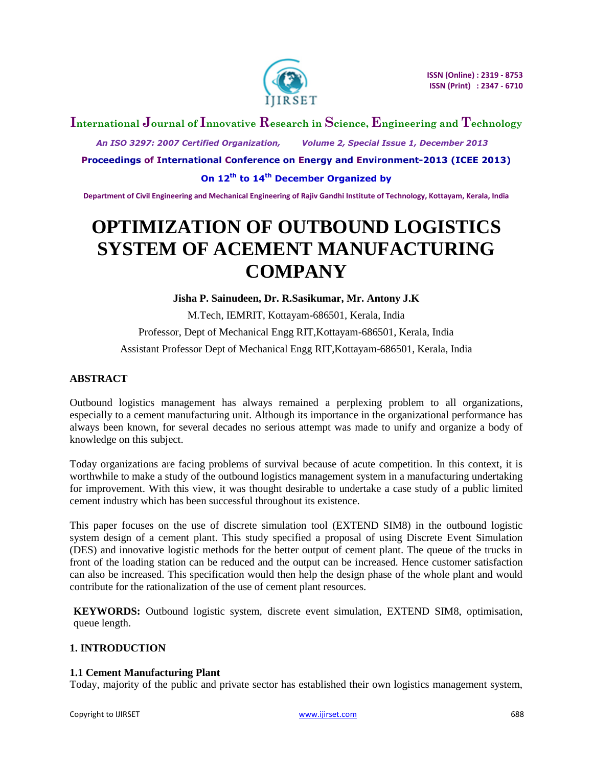

## **International Journal of Innovative Research in Science, Engineering and Technology**

 *An ISO 3297: 2007 Certified Organization, Volume 2, Special Issue 1, December 2013*

**Proceedings of International Conference on Energy and Environment-2013 (ICEE 2013)**

**On 12th to 14th December Organized by**

**Department of Civil Engineering and Mechanical Engineering of Rajiv Gandhi Institute of Technology, Kottayam, Kerala, India**

# **OPTIMIZATION OF OUTBOUND LOGISTICS SYSTEM OF ACEMENT MANUFACTURING COMPANY**

**Jisha P. Sainudeen, Dr. R.Sasikumar, Mr. Antony J.K**

M.Tech, IEMRIT, Kottayam-686501, Kerala, India Professor, Dept of Mechanical Engg RIT,Kottayam-686501, Kerala, India Assistant Professor Dept of Mechanical Engg RIT,Kottayam-686501, Kerala, India

## **ABSTRACT**

Outbound logistics management has always remained a perplexing problem to all organizations, especially to a cement manufacturing unit. Although its importance in the organizational performance has always been known, for several decades no serious attempt was made to unify and organize a body of knowledge on this subject.

Today organizations are facing problems of survival because of acute competition. In this context, it is worthwhile to make a study of the outbound logistics management system in a manufacturing undertaking for improvement. With this view, it was thought desirable to undertake a case study of a public limited cement industry which has been successful throughout its existence.

This paper focuses on the use of discrete simulation tool (EXTEND SIM8) in the outbound logistic system design of a cement plant. This study specified a proposal of using Discrete Event Simulation (DES) and innovative logistic methods for the better output of cement plant. The queue of the trucks in front of the loading station can be reduced and the output can be increased. Hence customer satisfaction can also be increased. This specification would then help the design phase of the whole plant and would contribute for the rationalization of the use of cement plant resources.

**KEYWORDS:** Outbound logistic system, discrete event simulation, EXTEND SIM8, optimisation, queue length.

### **1. INTRODUCTION**

#### **1.1 Cement Manufacturing Plant**

Today, majority of the public and private sector has established their own logistics management system,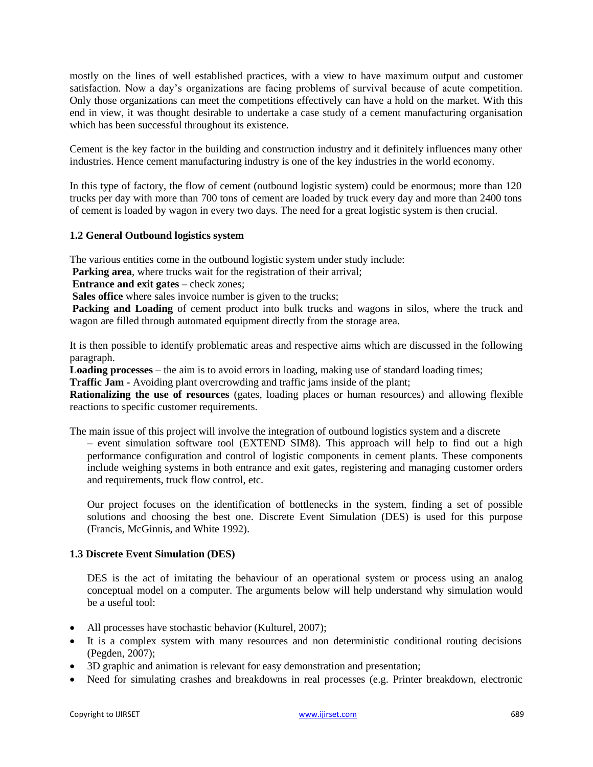mostly on the lines of well established practices, with a view to have maximum output and customer satisfaction. Now a day"s organizations are facing problems of survival because of acute competition. Only those organizations can meet the competitions effectively can have a hold on the market. With this end in view, it was thought desirable to undertake a case study of a cement manufacturing organisation which has been successful throughout its existence.

Cement is the key factor in the building and construction industry and it definitely influences many other industries. Hence cement manufacturing industry is one of the key industries in the world economy.

In this type of factory, the flow of cement (outbound logistic system) could be enormous; more than 120 trucks per day with more than 700 tons of cement are loaded by truck every day and more than 2400 tons of cement is loaded by wagon in every two days. The need for a great logistic system is then crucial.

#### **1.2 General Outbound logistics system**

The various entities come in the outbound logistic system under study include:

Parking area, where trucks wait for the registration of their arrival;

**Entrance and exit gates –** check zones:

**Sales office** where sales invoice number is given to the trucks;

Packing and Loading of cement product into bulk trucks and wagons in silos, where the truck and wagon are filled through automated equipment directly from the storage area.

It is then possible to identify problematic areas and respective aims which are discussed in the following paragraph.

**Loading processes** – the aim is to avoid errors in loading, making use of standard loading times;

**Traffic Jam -** Avoiding plant overcrowding and traffic jams inside of the plant;

**Rationalizing the use of resources** (gates, loading places or human resources) and allowing flexible reactions to specific customer requirements.

The main issue of this project will involve the integration of outbound logistics system and a discrete

– event simulation software tool (EXTEND SIM8). This approach will help to find out a high performance configuration and control of logistic components in cement plants. These components include weighing systems in both entrance and exit gates, registering and managing customer orders and requirements, truck flow control, etc.

Our project focuses on the identification of bottlenecks in the system, finding a set of possible solutions and choosing the best one. Discrete Event Simulation (DES) is used for this purpose (Francis, McGinnis, and White 1992).

## **1.3 Discrete Event Simulation (DES)**

DES is the act of imitating the behaviour of an operational system or process using an analog conceptual model on a computer. The arguments below will help understand why simulation would be a useful tool:

- All processes have stochastic behavior (Kulturel, 2007);
- It is a complex system with many resources and non deterministic conditional routing decisions (Pegden, 2007);
- 3D graphic and animation is relevant for easy demonstration and presentation;
- Need for simulating crashes and breakdowns in real processes (e.g. Printer breakdown, electronic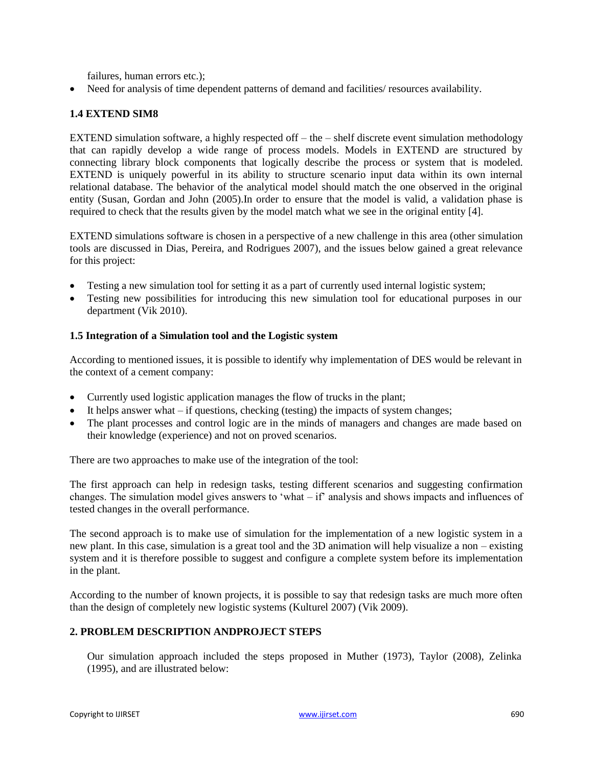failures, human errors etc.);

Need for analysis of time dependent patterns of demand and facilities/ resources availability.

## **1.4 EXTEND SIM8**

EXTEND simulation software, a highly respected off – the – shelf discrete event simulation methodology that can rapidly develop a wide range of process models. Models in EXTEND are structured by connecting library block components that logically describe the process or system that is modeled. EXTEND is uniquely powerful in its ability to structure scenario input data within its own internal relational database. The behavior of the analytical model should match the one observed in the original entity (Susan, Gordan and John (2005).In order to ensure that the model is valid, a validation phase is required to check that the results given by the model match what we see in the original entity [4].

EXTEND simulations software is chosen in a perspective of a new challenge in this area (other simulation tools are discussed in Dias, Pereira, and Rodrigues 2007), and the issues below gained a great relevance for this project:

- Testing a new simulation tool for setting it as a part of currently used internal logistic system;
- Testing new possibilities for introducing this new simulation tool for educational purposes in our department (Vik 2010).

#### **1.5 Integration of a Simulation tool and the Logistic system**

According to mentioned issues, it is possible to identify why implementation of DES would be relevant in the context of a cement company:

- Currently used logistic application manages the flow of trucks in the plant;
- It helps answer what if questions, checking (testing) the impacts of system changes;
- The plant processes and control logic are in the minds of managers and changes are made based on their knowledge (experience) and not on proved scenarios.

There are two approaches to make use of the integration of the tool:

The first approach can help in redesign tasks, testing different scenarios and suggesting confirmation changes. The simulation model gives answers to "what – if" analysis and shows impacts and influences of tested changes in the overall performance.

The second approach is to make use of simulation for the implementation of a new logistic system in a new plant. In this case, simulation is a great tool and the 3D animation will help visualize a non – existing system and it is therefore possible to suggest and configure a complete system before its implementation in the plant.

According to the number of known projects, it is possible to say that redesign tasks are much more often than the design of completely new logistic systems (Kulturel 2007) (Vik 2009).

## **2. PROBLEM DESCRIPTION ANDPROJECT STEPS**

Our simulation approach included the steps proposed in Muther (1973), Taylor (2008), Zelinka (1995), and are illustrated below: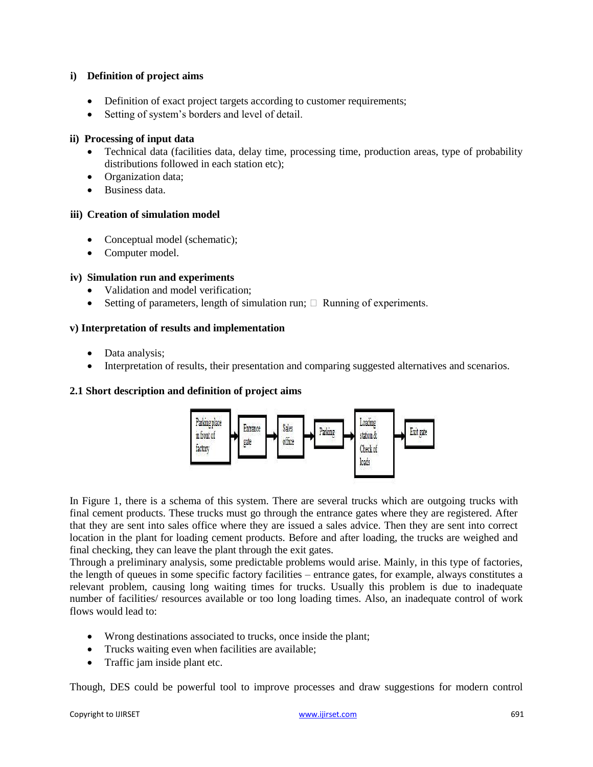#### **i) Definition of project aims**

- Definition of exact project targets according to customer requirements;
- Setting of system"s borders and level of detail.

#### **ii) Processing of input data**

- Technical data (facilities data, delay time, processing time, production areas, type of probability distributions followed in each station etc);
- Organization data;
- Business data.

#### **iii) Creation of simulation model**

- Conceptual model (schematic);
- Computer model.

#### **iv) Simulation run and experiments**

- Validation and model verification;
- Setting of parameters, length of simulation run;  $\Box$  Running of experiments.

#### **v) Interpretation of results and implementation**

- Data analysis;
- Interpretation of results, their presentation and comparing suggested alternatives and scenarios.

#### **2.1 Short description and definition of project aims**



In Figure 1, there is a schema of this system. There are several trucks which are outgoing trucks with final cement products. These trucks must go through the entrance gates where they are registered. After that they are sent into sales office where they are issued a sales advice. Then they are sent into correct location in the plant for loading cement products. Before and after loading, the trucks are weighed and final checking, they can leave the plant through the exit gates.

Through a preliminary analysis, some predictable problems would arise. Mainly, in this type of factories, the length of queues in some specific factory facilities – entrance gates, for example, always constitutes a relevant problem, causing long waiting times for trucks. Usually this problem is due to inadequate number of facilities/ resources available or too long loading times. Also, an inadequate control of work flows would lead to:

- Wrong destinations associated to trucks, once inside the plant;
- Trucks waiting even when facilities are available;
- Traffic jam inside plant etc.

Though, DES could be powerful tool to improve processes and draw suggestions for modern control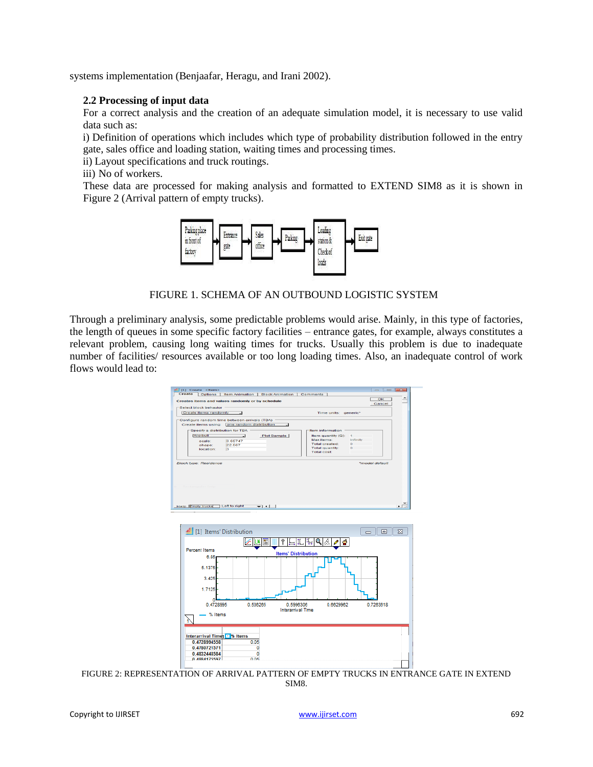systems implementation (Benjaafar, Heragu, and Irani 2002).

### **2.2 Processing of input data**

For a correct analysis and the creation of an adequate simulation model, it is necessary to use valid data such as:

i) Definition of operations which includes which type of probability distribution followed in the entry gate, sales office and loading station, waiting times and processing times.

ii) Layout specifications and truck routings.

iii) No of workers.

These data are processed for making analysis and formatted to EXTEND SIM8 as it is shown in Figure 2 (Arrival pattern of empty trucks).



FIGURE 1. SCHEMA OF AN OUTBOUND LOGISTIC SYSTEM

Through a preliminary analysis, some predictable problems would arise. Mainly, in this type of factories, the length of queues in some specific factory facilities – entrance gates, for example, always constitutes a relevant problem, causing long waiting times for trucks. Usually this problem is due to inadequate number of facilities/ resources available or too long loading times. Also, an inadequate control of work flows would lead to:



FIGURE 2: REPRESENTATION OF ARRIVAL PATTERN OF EMPTY TRUCKS IN ENTRANCE GATE IN EXTEND SIM8.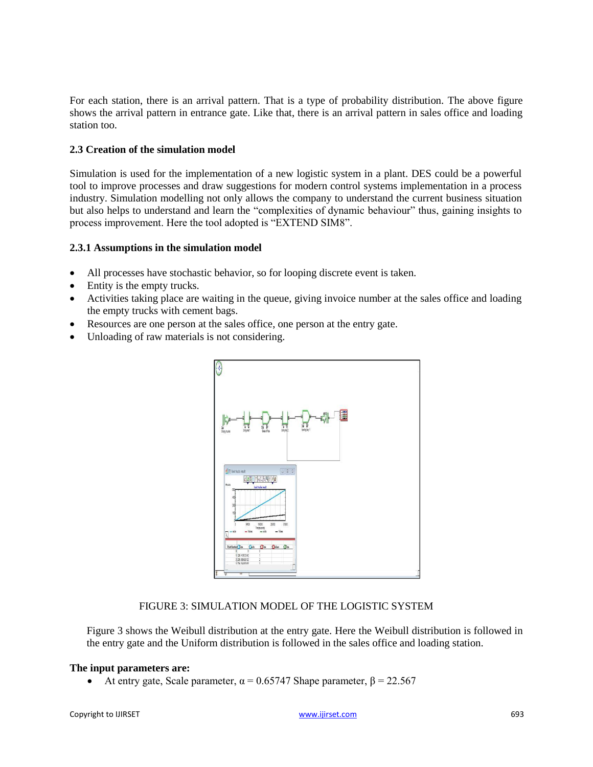For each station, there is an arrival pattern. That is a type of probability distribution. The above figure shows the arrival pattern in entrance gate. Like that, there is an arrival pattern in sales office and loading station too.

### **2.3 Creation of the simulation model**

Simulation is used for the implementation of a new logistic system in a plant. DES could be a powerful tool to improve processes and draw suggestions for modern control systems implementation in a process industry. Simulation modelling not only allows the company to understand the current business situation but also helps to understand and learn the "complexities of dynamic behaviour" thus, gaining insights to process improvement. Here the tool adopted is "EXTEND SIM8".

#### **2.3.1 Assumptions in the simulation model**

- All processes have stochastic behavior, so for looping discrete event is taken.
- Entity is the empty trucks.
- Activities taking place are waiting in the queue, giving invoice number at the sales office and loading the empty trucks with cement bags.
- Resources are one person at the sales office, one person at the entry gate.
- Unloading of raw materials is not considering.



## FIGURE 3: SIMULATION MODEL OF THE LOGISTIC SYSTEM

Figure 3 shows the Weibull distribution at the entry gate. Here the Weibull distribution is followed in the entry gate and the Uniform distribution is followed in the sales office and loading station.

#### **The input parameters are:**

• At entry gate, Scale parameter,  $\alpha = 0.65747$  Shape parameter,  $\beta = 22.567$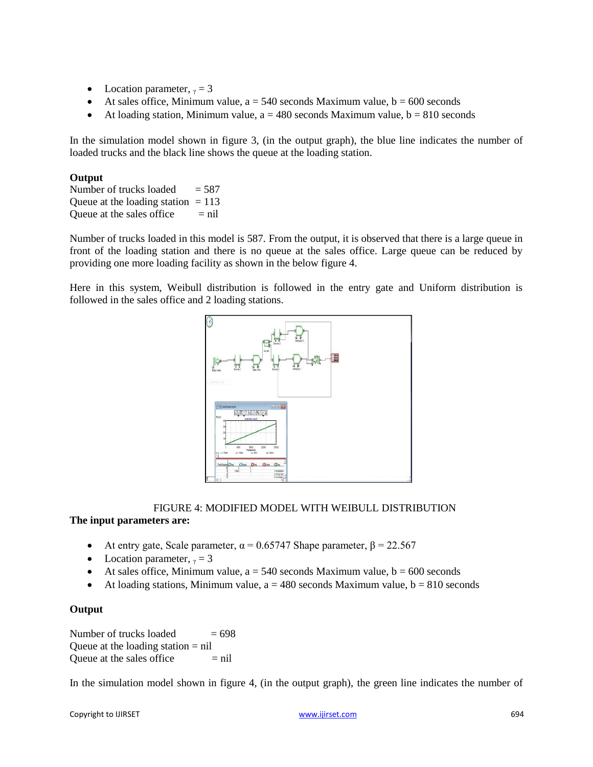- Location parameter,  $\gamma = 3$
- At sales office, Minimum value,  $a = 540$  seconds Maximum value,  $b = 600$  seconds
- At loading station, Minimum value,  $a = 480$  seconds Maximum value,  $b = 810$  seconds

In the simulation model shown in figure 3, (in the output graph), the blue line indicates the number of loaded trucks and the black line shows the queue at the loading station.

#### **Output**

Number of trucks loaded  $= 587$ Queue at the loading station  $= 113$ Queue at the sales office  $=$  nil

Number of trucks loaded in this model is 587. From the output, it is observed that there is a large queue in front of the loading station and there is no queue at the sales office. Large queue can be reduced by providing one more loading facility as shown in the below figure 4.

Here in this system, Weibull distribution is followed in the entry gate and Uniform distribution is followed in the sales office and 2 loading stations.



#### FIGURE 4: MODIFIED MODEL WITH WEIBULL DISTRIBUTION

#### **The input parameters are:**

- At entry gate, Scale parameter,  $\alpha = 0.65747$  Shape parameter,  $\beta = 22.567$
- Location parameter,  $\gamma = 3$
- At sales office, Minimum value,  $a = 540$  seconds Maximum value,  $b = 600$  seconds
- At loading stations, Minimum value,  $a = 480$  seconds Maximum value,  $b = 810$  seconds

#### **Output**

Number of trucks loaded  $= 698$ Queue at the loading station  $=$  nil Queue at the sales office  $=$  nil

In the simulation model shown in figure 4, (in the output graph), the green line indicates the number of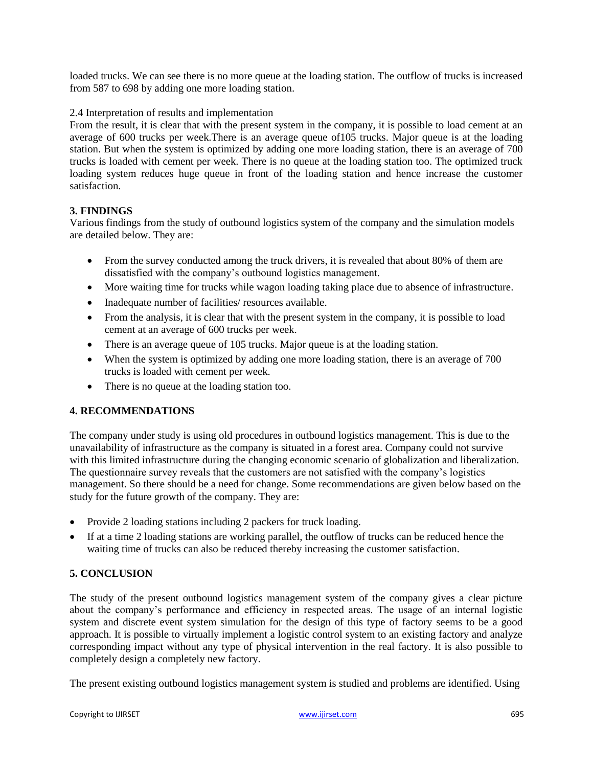loaded trucks. We can see there is no more queue at the loading station. The outflow of trucks is increased from 587 to 698 by adding one more loading station.

#### 2.4 Interpretation of results and implementation

From the result, it is clear that with the present system in the company, it is possible to load cement at an average of 600 trucks per week.There is an average queue of105 trucks. Major queue is at the loading station. But when the system is optimized by adding one more loading station, there is an average of 700 trucks is loaded with cement per week. There is no queue at the loading station too. The optimized truck loading system reduces huge queue in front of the loading station and hence increase the customer satisfaction.

## **3. FINDINGS**

Various findings from the study of outbound logistics system of the company and the simulation models are detailed below. They are:

- From the survey conducted among the truck drivers, it is revealed that about 80% of them are dissatisfied with the company"s outbound logistics management.
- More waiting time for trucks while wagon loading taking place due to absence of infrastructure.
- Inadequate number of facilities/ resources available.
- From the analysis, it is clear that with the present system in the company, it is possible to load cement at an average of 600 trucks per week.
- There is an average queue of 105 trucks. Major queue is at the loading station.
- When the system is optimized by adding one more loading station, there is an average of 700 trucks is loaded with cement per week.
- There is no queue at the loading station too.

## **4. RECOMMENDATIONS**

The company under study is using old procedures in outbound logistics management. This is due to the unavailability of infrastructure as the company is situated in a forest area. Company could not survive with this limited infrastructure during the changing economic scenario of globalization and liberalization. The questionnaire survey reveals that the customers are not satisfied with the company"s logistics management. So there should be a need for change. Some recommendations are given below based on the study for the future growth of the company. They are:

- Provide 2 loading stations including 2 packers for truck loading.
- If at a time 2 loading stations are working parallel, the outflow of trucks can be reduced hence the waiting time of trucks can also be reduced thereby increasing the customer satisfaction.

#### **5. CONCLUSION**

The study of the present outbound logistics management system of the company gives a clear picture about the company"s performance and efficiency in respected areas. The usage of an internal logistic system and discrete event system simulation for the design of this type of factory seems to be a good approach. It is possible to virtually implement a logistic control system to an existing factory and analyze corresponding impact without any type of physical intervention in the real factory. It is also possible to completely design a completely new factory.

The present existing outbound logistics management system is studied and problems are identified. Using